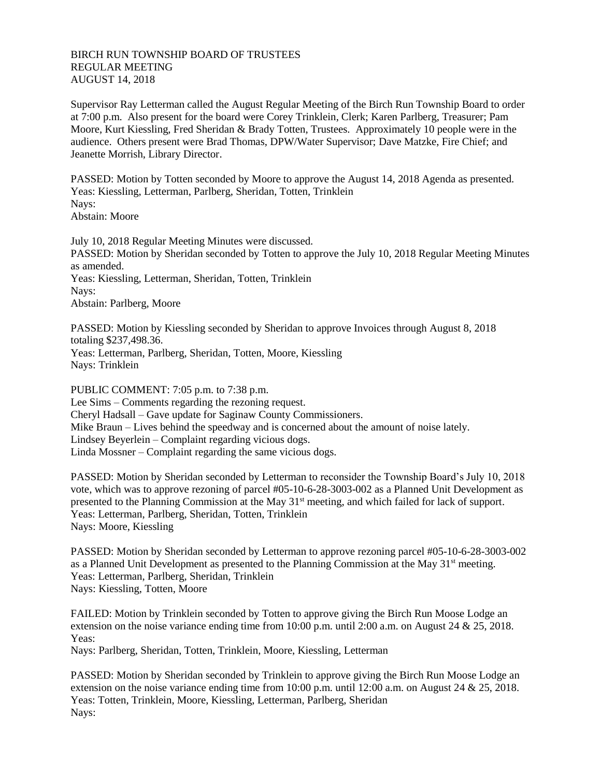## BIRCH RUN TOWNSHIP BOARD OF TRUSTEES REGULAR MEETING AUGUST 14, 2018

Supervisor Ray Letterman called the August Regular Meeting of the Birch Run Township Board to order at 7:00 p.m. Also present for the board were Corey Trinklein, Clerk; Karen Parlberg, Treasurer; Pam Moore, Kurt Kiessling, Fred Sheridan & Brady Totten, Trustees. Approximately 10 people were in the audience. Others present were Brad Thomas, DPW/Water Supervisor; Dave Matzke, Fire Chief; and Jeanette Morrish, Library Director.

PASSED: Motion by Totten seconded by Moore to approve the August 14, 2018 Agenda as presented. Yeas: Kiessling, Letterman, Parlberg, Sheridan, Totten, Trinklein Nays: Abstain: Moore

July 10, 2018 Regular Meeting Minutes were discussed. PASSED: Motion by Sheridan seconded by Totten to approve the July 10, 2018 Regular Meeting Minutes as amended. Yeas: Kiessling, Letterman, Sheridan, Totten, Trinklein Nays: Abstain: Parlberg, Moore

PASSED: Motion by Kiessling seconded by Sheridan to approve Invoices through August 8, 2018 totaling \$237,498.36. Yeas: Letterman, Parlberg, Sheridan, Totten, Moore, Kiessling Nays: Trinklein

PUBLIC COMMENT: 7:05 p.m. to 7:38 p.m. Lee Sims – Comments regarding the rezoning request. Cheryl Hadsall – Gave update for Saginaw County Commissioners. Mike Braun – Lives behind the speedway and is concerned about the amount of noise lately. Lindsey Beyerlein – Complaint regarding vicious dogs. Linda Mossner – Complaint regarding the same vicious dogs.

PASSED: Motion by Sheridan seconded by Letterman to reconsider the Township Board's July 10, 2018 vote, which was to approve rezoning of parcel #05-10-6-28-3003-002 as a Planned Unit Development as presented to the Planning Commission at the May 31<sup>st</sup> meeting, and which failed for lack of support. Yeas: Letterman, Parlberg, Sheridan, Totten, Trinklein Nays: Moore, Kiessling

PASSED: Motion by Sheridan seconded by Letterman to approve rezoning parcel #05-10-6-28-3003-002 as a Planned Unit Development as presented to the Planning Commission at the May  $31<sup>st</sup>$  meeting. Yeas: Letterman, Parlberg, Sheridan, Trinklein Nays: Kiessling, Totten, Moore

FAILED: Motion by Trinklein seconded by Totten to approve giving the Birch Run Moose Lodge an extension on the noise variance ending time from 10:00 p.m. until 2:00 a.m. on August 24 & 25, 2018. Yeas:

Nays: Parlberg, Sheridan, Totten, Trinklein, Moore, Kiessling, Letterman

PASSED: Motion by Sheridan seconded by Trinklein to approve giving the Birch Run Moose Lodge an extension on the noise variance ending time from 10:00 p.m. until 12:00 a.m. on August 24 & 25, 2018. Yeas: Totten, Trinklein, Moore, Kiessling, Letterman, Parlberg, Sheridan Nays: